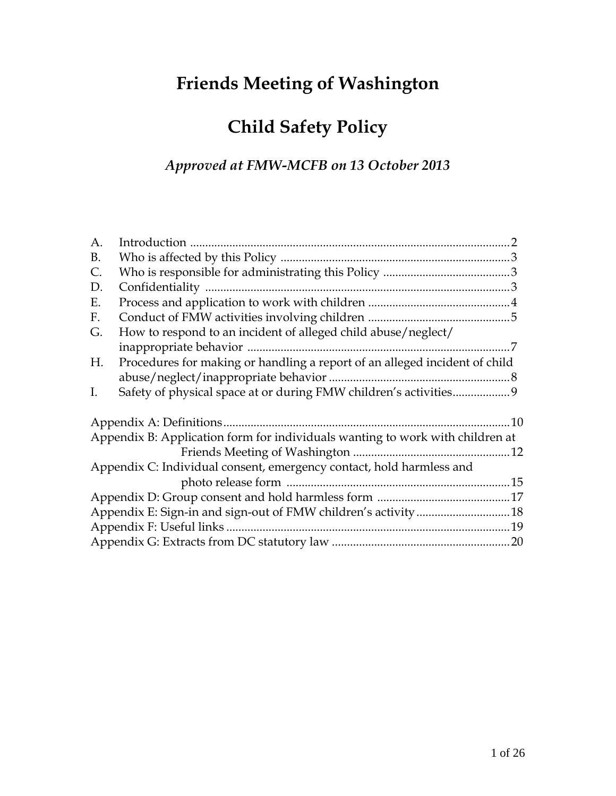# **Friends Meeting of Washington**

# **Child Safety Policy**

# *Approved at FMW-MCFB on 13 October 2013*

| A.             |                                                                               |     |
|----------------|-------------------------------------------------------------------------------|-----|
| B.             |                                                                               |     |
| $\mathsf{C}$ . |                                                                               |     |
| D.             |                                                                               |     |
| Ε.             |                                                                               |     |
| F.             |                                                                               |     |
| G.             | How to respond to an incident of alleged child abuse/neglect/                 |     |
|                |                                                                               |     |
| Η.             | Procedures for making or handling a report of an alleged incident of child    |     |
|                |                                                                               |     |
| I.             |                                                                               |     |
|                | Appendix A: Definitions                                                       | .10 |
|                | Appendix B: Application form for individuals wanting to work with children at |     |
|                |                                                                               |     |
|                | Appendix C: Individual consent, emergency contact, hold harmless and          |     |
|                |                                                                               |     |
|                |                                                                               |     |
|                |                                                                               |     |
|                |                                                                               |     |
|                |                                                                               |     |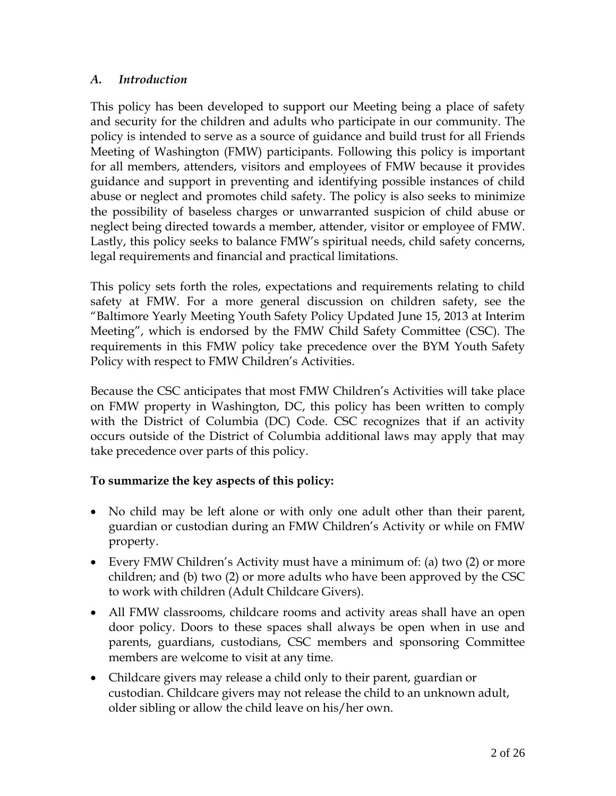## *A. Introduction*

This policy has been developed to support our Meeting being a place of safety and security for the children and adults who participate in our community. The policy is intended to serve as a source of guidance and build trust for all Friends Meeting of Washington (FMW) participants. Following this policy is important for all members, attenders, visitors and employees of FMW because it provides guidance and support in preventing and identifying possible instances of child abuse or neglect and promotes child safety. The policy is also seeks to minimize the possibility of baseless charges or unwarranted suspicion of child abuse or neglect being directed towards a member, attender, visitor or employee of FMW. Lastly, this policy seeks to balance FMW's spiritual needs, child safety concerns, legal requirements and financial and practical limitations.

This policy sets forth the roles, expectations and requirements relating to child safety at FMW. For a more general discussion on children safety, see the "Baltimore Yearly Meeting Youth Safety Policy Updated June 15, 2013 at Interim Meeting", which is endorsed by the FMW Child Safety Committee (CSC). The requirements in this FMW policy take precedence over the BYM Youth Safety Policy with respect to FMW Children's Activities.

Because the CSC anticipates that most FMW Children's Activities will take place on FMW property in Washington, DC, this policy has been written to comply with the District of Columbia (DC) Code. CSC recognizes that if an activity occurs outside of the District of Columbia additional laws may apply that may take precedence over parts of this policy.

## **To summarize the key aspects of this policy:**

- No child may be left alone or with only one adult other than their parent, guardian or custodian during an FMW Children's Activity or while on FMW property.
- Every FMW Children's Activity must have a minimum of: (a) two (2) or more children; and (b) two (2) or more adults who have been approved by the CSC to work with children (Adult Childcare Givers).
- All FMW classrooms, childcare rooms and activity areas shall have an open door policy. Doors to these spaces shall always be open when in use and parents, guardians, custodians, CSC members and sponsoring Committee members are welcome to visit at any time.
- Childcare givers may release a child only to their parent, guardian or custodian. Childcare givers may not release the child to an unknown adult, older sibling or allow the child leave on his/her own.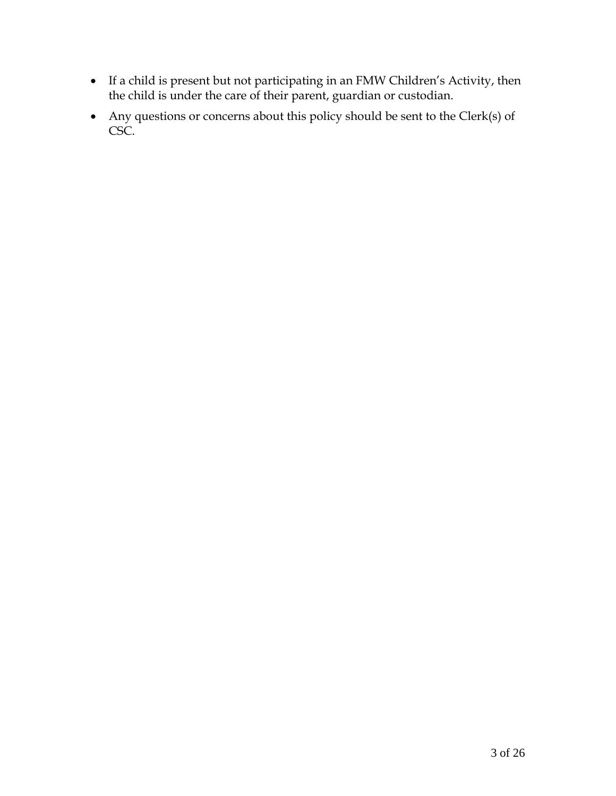- If a child is present but not participating in an FMW Children's Activity, then the child is under the care of their parent, guardian or custodian.
- Any questions or concerns about this policy should be sent to the Clerk(s) of CSC.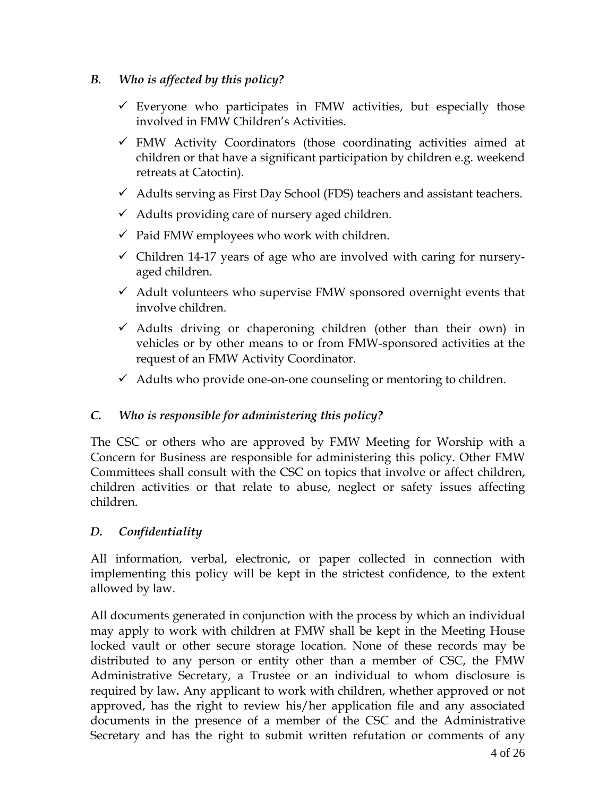## *B. Who is affected by this policy?*

- $\checkmark$  Everyone who participates in FMW activities, but especially those involved in FMW Children's Activities.
- $\checkmark$  FMW Activity Coordinators (those coordinating activities aimed at children or that have a significant participation by children e.g. weekend retreats at Catoctin).
- $\checkmark$  Adults serving as First Day School (FDS) teachers and assistant teachers.
- $\checkmark$  Adults providing care of nursery aged children.
- $\checkmark$  Paid FMW employees who work with children.
- $\checkmark$  Children 14-17 years of age who are involved with caring for nurseryaged children.
- $\checkmark$  Adult volunteers who supervise FMW sponsored overnight events that involve children.
- $\checkmark$  Adults driving or chaperoning children (other than their own) in vehicles or by other means to or from FMW-sponsored activities at the request of an FMW Activity Coordinator.
- $\checkmark$  Adults who provide one-on-one counseling or mentoring to children.

# *C. Who is responsible for administering this policy?*

The CSC or others who are approved by FMW Meeting for Worship with a Concern for Business are responsible for administering this policy. Other FMW Committees shall consult with the CSC on topics that involve or affect children, children activities or that relate to abuse, neglect or safety issues affecting children.

## *D. Confidentiality*

All information, verbal, electronic, or paper collected in connection with implementing this policy will be kept in the strictest confidence, to the extent allowed by law.

All documents generated in conjunction with the process by which an individual may apply to work with children at FMW shall be kept in the Meeting House locked vault or other secure storage location. None of these records may be distributed to any person or entity other than a member of CSC, the FMW Administrative Secretary, a Trustee or an individual to whom disclosure is required by law*.* Any applicant to work with children, whether approved or not approved, has the right to review his/her application file and any associated documents in the presence of a member of the CSC and the Administrative Secretary and has the right to submit written refutation or comments of any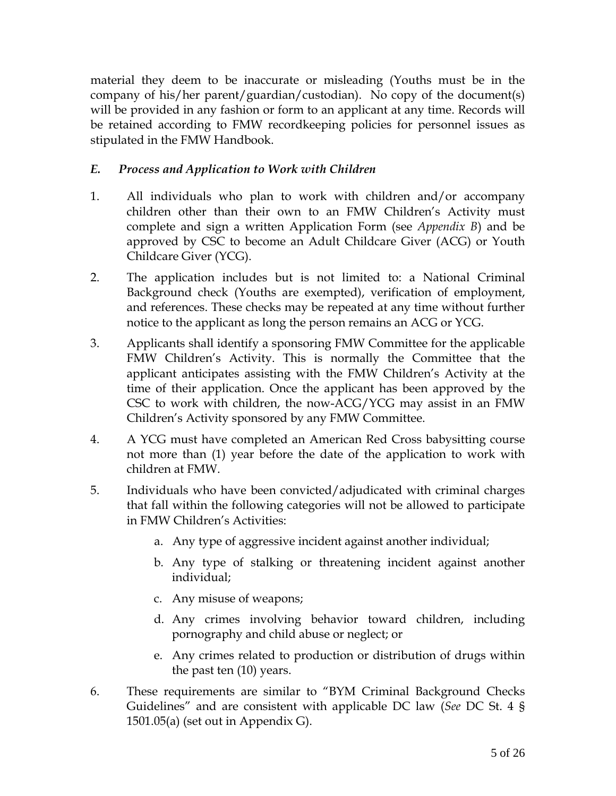material they deem to be inaccurate or misleading (Youths must be in the company of his/her parent/guardian/custodian). No copy of the document(s) will be provided in any fashion or form to an applicant at any time. Records will be retained according to FMW recordkeeping policies for personnel issues as stipulated in the FMW Handbook.

# *E. Process and Application to Work with Children*

- 1. All individuals who plan to work with children and/or accompany children other than their own to an FMW Children's Activity must complete and sign a written Application Form (see *Appendix B*) and be approved by CSC to become an Adult Childcare Giver (ACG) or Youth Childcare Giver (YCG).
- 2. The application includes but is not limited to: a National Criminal Background check (Youths are exempted), verification of employment, and references. These checks may be repeated at any time without further notice to the applicant as long the person remains an ACG or YCG.
- 3. Applicants shall identify a sponsoring FMW Committee for the applicable FMW Children's Activity. This is normally the Committee that the applicant anticipates assisting with the FMW Children's Activity at the time of their application. Once the applicant has been approved by the CSC to work with children, the now-ACG/YCG may assist in an FMW Children's Activity sponsored by any FMW Committee.
- 4. A YCG must have completed an American Red Cross babysitting course not more than (1) year before the date of the application to work with children at FMW.
- 5. Individuals who have been convicted/adjudicated with criminal charges that fall within the following categories will not be allowed to participate in FMW Children's Activities:
	- a. Any type of aggressive incident against another individual;
	- b. Any type of stalking or threatening incident against another individual;
	- c. Any misuse of weapons;
	- d. Any crimes involving behavior toward children, including pornography and child abuse or neglect; or
	- e. Any crimes related to production or distribution of drugs within the past ten (10) years.
- 6. These requirements are similar to "BYM Criminal Background Checks Guidelines" and are consistent with applicable DC law (*See* DC St. 4 § 1501.05(a) (set out in Appendix G).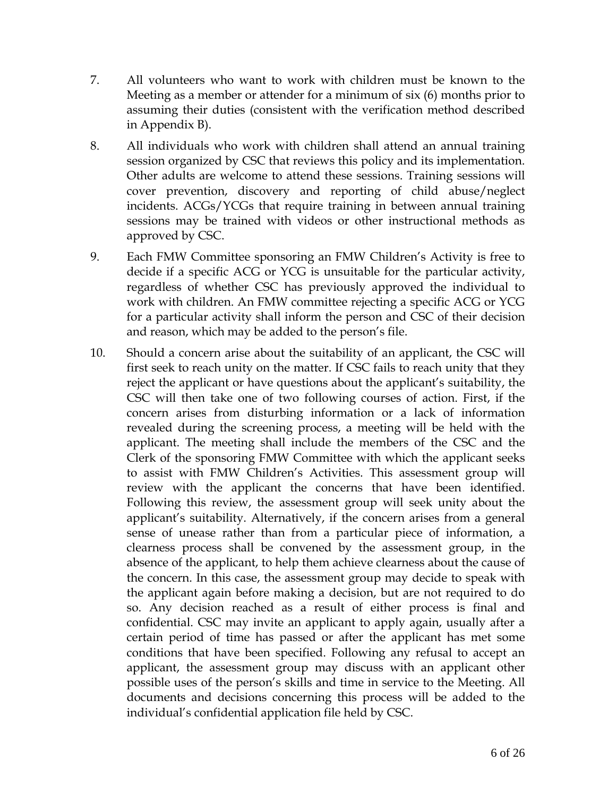- 7. All volunteers who want to work with children must be known to the Meeting as a member or attender for a minimum of six (6) months prior to assuming their duties (consistent with the verification method described in Appendix B).
- 8. All individuals who work with children shall attend an annual training session organized by CSC that reviews this policy and its implementation. Other adults are welcome to attend these sessions. Training sessions will cover prevention, discovery and reporting of child abuse/neglect incidents. ACGs/YCGs that require training in between annual training sessions may be trained with videos or other instructional methods as approved by CSC.
- 9. Each FMW Committee sponsoring an FMW Children's Activity is free to decide if a specific ACG or YCG is unsuitable for the particular activity, regardless of whether CSC has previously approved the individual to work with children. An FMW committee rejecting a specific ACG or YCG for a particular activity shall inform the person and CSC of their decision and reason, which may be added to the person's file.
- 10. Should a concern arise about the suitability of an applicant, the CSC will first seek to reach unity on the matter. If CSC fails to reach unity that they reject the applicant or have questions about the applicant's suitability, the CSC will then take one of two following courses of action. First, if the concern arises from disturbing information or a lack of information revealed during the screening process, a meeting will be held with the applicant. The meeting shall include the members of the CSC and the Clerk of the sponsoring FMW Committee with which the applicant seeks to assist with FMW Children's Activities. This assessment group will review with the applicant the concerns that have been identified. Following this review, the assessment group will seek unity about the applicant's suitability. Alternatively, if the concern arises from a general sense of unease rather than from a particular piece of information, a clearness process shall be convened by the assessment group, in the absence of the applicant, to help them achieve clearness about the cause of the concern. In this case, the assessment group may decide to speak with the applicant again before making a decision, but are not required to do so. Any decision reached as a result of either process is final and confidential. CSC may invite an applicant to apply again, usually after a certain period of time has passed or after the applicant has met some conditions that have been specified. Following any refusal to accept an applicant, the assessment group may discuss with an applicant other possible uses of the person's skills and time in service to the Meeting. All documents and decisions concerning this process will be added to the individual's confidential application file held by CSC.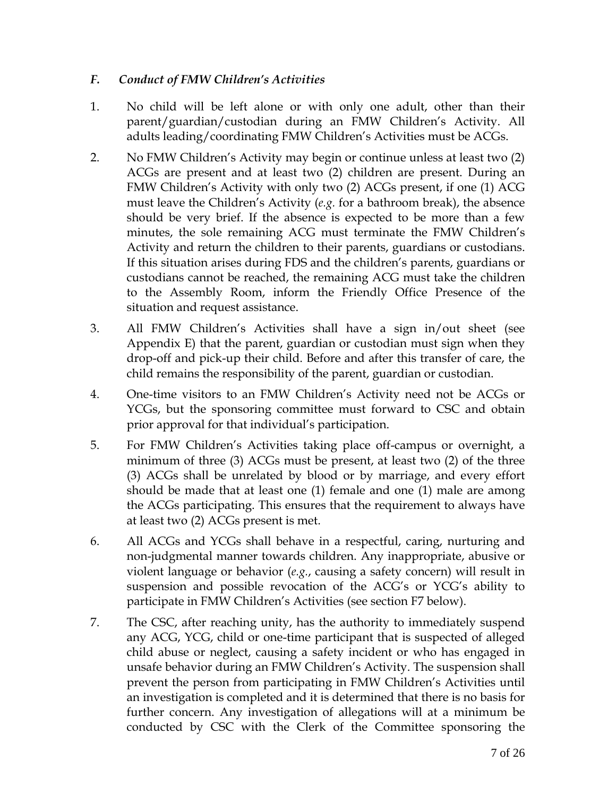## *F. Conduct of FMW Children's Activities*

- 1. No child will be left alone or with only one adult, other than their parent/guardian/custodian during an FMW Children's Activity. All adults leading/coordinating FMW Children's Activities must be ACGs.
- 2. No FMW Children's Activity may begin or continue unless at least two (2) ACGs are present and at least two (2) children are present. During an FMW Children's Activity with only two (2) ACGs present, if one (1) ACG must leave the Children's Activity (*e.g.* for a bathroom break), the absence should be very brief. If the absence is expected to be more than a few minutes, the sole remaining ACG must terminate the FMW Children's Activity and return the children to their parents, guardians or custodians. If this situation arises during FDS and the children's parents, guardians or custodians cannot be reached, the remaining ACG must take the children to the Assembly Room, inform the Friendly Office Presence of the situation and request assistance.
- 3. All FMW Children's Activities shall have a sign in/out sheet (see Appendix E) that the parent, guardian or custodian must sign when they drop-off and pick-up their child. Before and after this transfer of care, the child remains the responsibility of the parent, guardian or custodian.
- 4. One-time visitors to an FMW Children's Activity need not be ACGs or YCGs, but the sponsoring committee must forward to CSC and obtain prior approval for that individual's participation.
- 5. For FMW Children's Activities taking place off-campus or overnight, a minimum of three (3) ACGs must be present, at least two (2) of the three (3) ACGs shall be unrelated by blood or by marriage, and every effort should be made that at least one (1) female and one (1) male are among the ACGs participating. This ensures that the requirement to always have at least two (2) ACGs present is met.
- 6. All ACGs and YCGs shall behave in a respectful, caring, nurturing and non-judgmental manner towards children. Any inappropriate, abusive or violent language or behavior (*e.g.*, causing a safety concern) will result in suspension and possible revocation of the ACG's or YCG's ability to participate in FMW Children's Activities (see section F7 below).
- 7. The CSC, after reaching unity, has the authority to immediately suspend any ACG, YCG, child or one-time participant that is suspected of alleged child abuse or neglect, causing a safety incident or who has engaged in unsafe behavior during an FMW Children's Activity. The suspension shall prevent the person from participating in FMW Children's Activities until an investigation is completed and it is determined that there is no basis for further concern. Any investigation of allegations will at a minimum be conducted by CSC with the Clerk of the Committee sponsoring the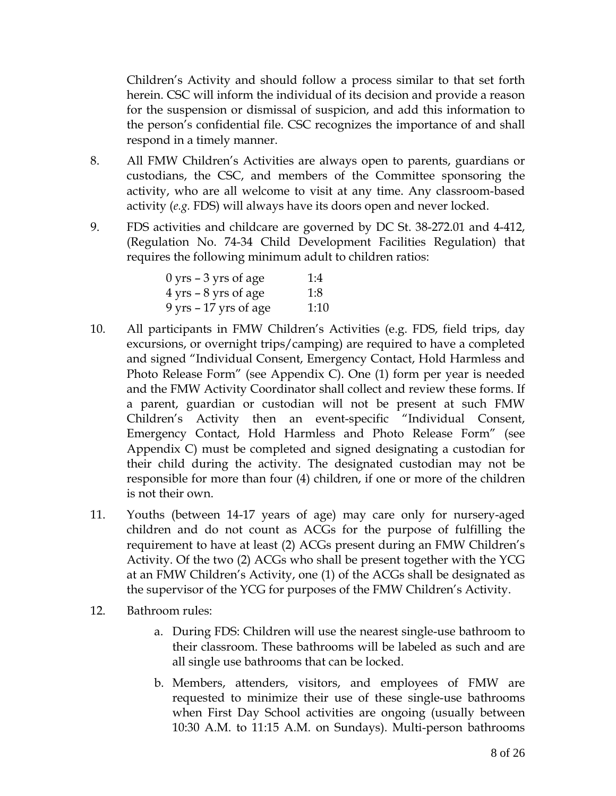Children's Activity and should follow a process similar to that set forth herein. CSC will inform the individual of its decision and provide a reason for the suspension or dismissal of suspicion, and add this information to the person's confidential file. CSC recognizes the importance of and shall respond in a timely manner.

- 8. All FMW Children's Activities are always open to parents, guardians or custodians, the CSC, and members of the Committee sponsoring the activity, who are all welcome to visit at any time. Any classroom-based activity (*e.g.* FDS) will always have its doors open and never locked.
- 9. FDS activities and childcare are governed by DC St. 38-272.01 and 4-412, (Regulation No. 74-34 Child Development Facilities Regulation) that requires the following minimum adult to children ratios:

| $0 \, \text{yrs}$ – 3 yrs of age        | 1:4  |
|-----------------------------------------|------|
| $4 \text{ yrs} - 8 \text{ yrs}$ of age  | 1:8  |
| $9 \text{ yrs} - 17 \text{ yrs of age}$ | 1:10 |

- 10. All participants in FMW Children's Activities (e.g. FDS, field trips, day excursions, or overnight trips/camping) are required to have a completed and signed "Individual Consent, Emergency Contact, Hold Harmless and Photo Release Form" (see Appendix C). One (1) form per year is needed and the FMW Activity Coordinator shall collect and review these forms. If a parent, guardian or custodian will not be present at such FMW Children's Activity then an event-specific "Individual Consent, Emergency Contact, Hold Harmless and Photo Release Form" (see Appendix C) must be completed and signed designating a custodian for their child during the activity. The designated custodian may not be responsible for more than four (4) children, if one or more of the children is not their own.
- 11. Youths (between 14-17 years of age) may care only for nursery-aged children and do not count as ACGs for the purpose of fulfilling the requirement to have at least (2) ACGs present during an FMW Children's Activity. Of the two (2) ACGs who shall be present together with the YCG at an FMW Children's Activity, one (1) of the ACGs shall be designated as the supervisor of the YCG for purposes of the FMW Children's Activity.
- 12. Bathroom rules:
	- a. During FDS: Children will use the nearest single-use bathroom to their classroom. These bathrooms will be labeled as such and are all single use bathrooms that can be locked.
	- b. Members, attenders, visitors, and employees of FMW are requested to minimize their use of these single-use bathrooms when First Day School activities are ongoing (usually between 10:30 A.M. to 11:15 A.M. on Sundays). Multi-person bathrooms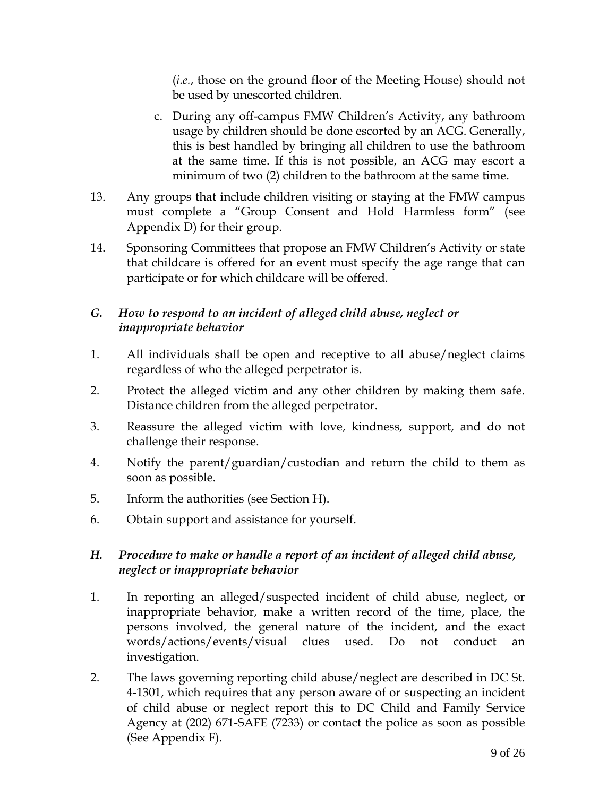(*i.e.*, those on the ground floor of the Meeting House) should not be used by unescorted children.

- c. During any off-campus FMW Children's Activity, any bathroom usage by children should be done escorted by an ACG. Generally, this is best handled by bringing all children to use the bathroom at the same time. If this is not possible, an ACG may escort a minimum of two (2) children to the bathroom at the same time.
- 13. Any groups that include children visiting or staying at the FMW campus must complete a "Group Consent and Hold Harmless form" (see Appendix D) for their group.
- 14. Sponsoring Committees that propose an FMW Children's Activity or state that childcare is offered for an event must specify the age range that can participate or for which childcare will be offered.

# *G. How to respond to an incident of alleged child abuse, neglect or inappropriate behavior*

- 1. All individuals shall be open and receptive to all abuse/neglect claims regardless of who the alleged perpetrator is.
- 2. Protect the alleged victim and any other children by making them safe. Distance children from the alleged perpetrator.
- 3. Reassure the alleged victim with love, kindness, support, and do not challenge their response.
- 4. Notify the parent/guardian/custodian and return the child to them as soon as possible.
- 5. Inform the authorities (see Section H).
- 6. Obtain support and assistance for yourself.

# *H. Procedure to make or handle a report of an incident of alleged child abuse, neglect or inappropriate behavior*

- 1. In reporting an alleged/suspected incident of child abuse, neglect, or inappropriate behavior, make a written record of the time, place, the persons involved, the general nature of the incident, and the exact words/actions/events/visual clues used. Do not conduct an investigation.
- 2. The laws governing reporting child abuse/neglect are described in DC St. 4-1301, which requires that any person aware of or suspecting an incident of child abuse or neglect report this to DC Child and Family Service Agency at (202) 671-SAFE (7233) or contact the police as soon as possible (See Appendix F).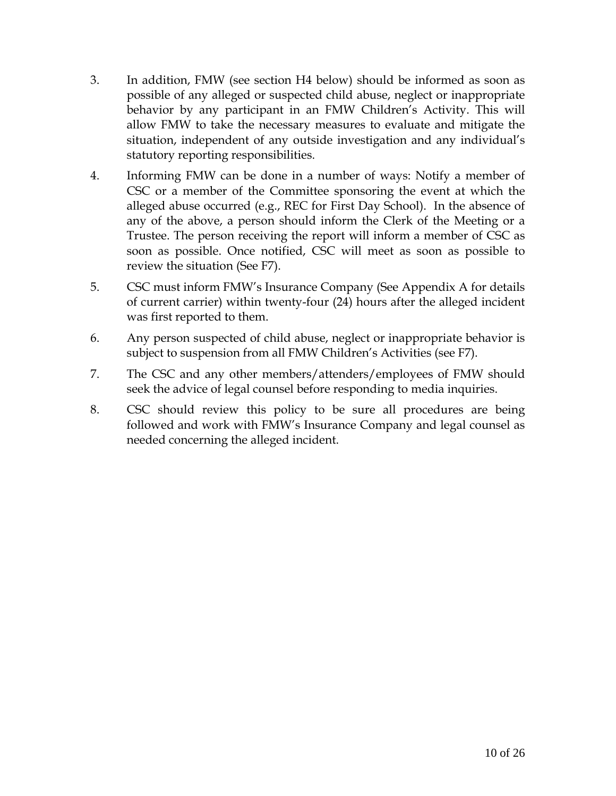- 3. In addition, FMW (see section H4 below) should be informed as soon as possible of any alleged or suspected child abuse, neglect or inappropriate behavior by any participant in an FMW Children's Activity. This will allow FMW to take the necessary measures to evaluate and mitigate the situation, independent of any outside investigation and any individual's statutory reporting responsibilities.
- 4. Informing FMW can be done in a number of ways: Notify a member of CSC or a member of the Committee sponsoring the event at which the alleged abuse occurred (e.g., REC for First Day School). In the absence of any of the above, a person should inform the Clerk of the Meeting or a Trustee. The person receiving the report will inform a member of CSC as soon as possible. Once notified, CSC will meet as soon as possible to review the situation (See F7).
- 5. CSC must inform FMW's Insurance Company (See Appendix A for details of current carrier) within twenty-four (24) hours after the alleged incident was first reported to them.
- 6. Any person suspected of child abuse, neglect or inappropriate behavior is subject to suspension from all FMW Children's Activities (see F7).
- 7. The CSC and any other members/attenders/employees of FMW should seek the advice of legal counsel before responding to media inquiries.
- 8. CSC should review this policy to be sure all procedures are being followed and work with FMW's Insurance Company and legal counsel as needed concerning the alleged incident.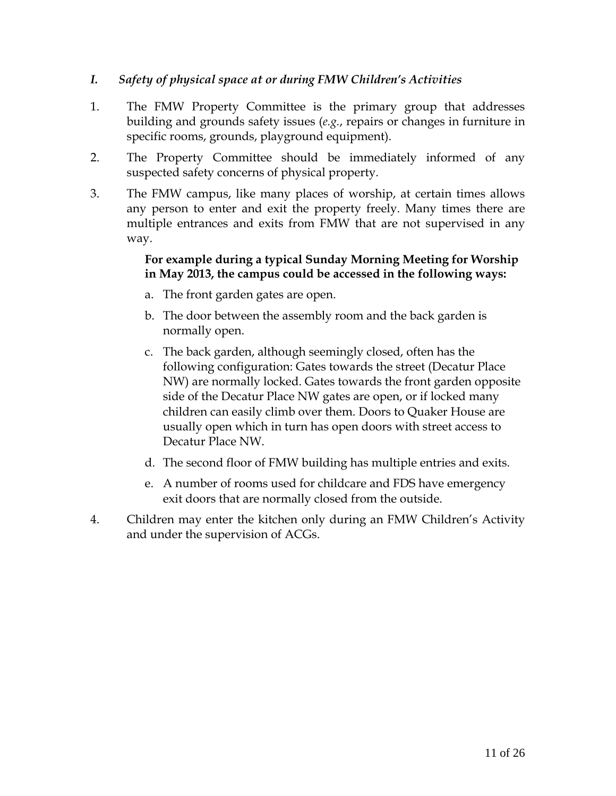#### *I. Safety of physical space at or during FMW Children's Activities*

- 1. The FMW Property Committee is the primary group that addresses building and grounds safety issues (*e.g.*, repairs or changes in furniture in specific rooms, grounds, playground equipment).
- 2. The Property Committee should be immediately informed of any suspected safety concerns of physical property.
- 3. The FMW campus, like many places of worship, at certain times allows any person to enter and exit the property freely. Many times there are multiple entrances and exits from FMW that are not supervised in any way.

#### **For example during a typical Sunday Morning Meeting for Worship in May 2013, the campus could be accessed in the following ways:**

- a. The front garden gates are open.
- b. The door between the assembly room and the back garden is normally open.
- c. The back garden, although seemingly closed, often has the following configuration: Gates towards the street (Decatur Place NW) are normally locked. Gates towards the front garden opposite side of the Decatur Place NW gates are open, or if locked many children can easily climb over them. Doors to Quaker House are usually open which in turn has open doors with street access to Decatur Place NW.
- d. The second floor of FMW building has multiple entries and exits.
- e. A number of rooms used for childcare and FDS have emergency exit doors that are normally closed from the outside.
- 4. Children may enter the kitchen only during an FMW Children's Activity and under the supervision of ACGs.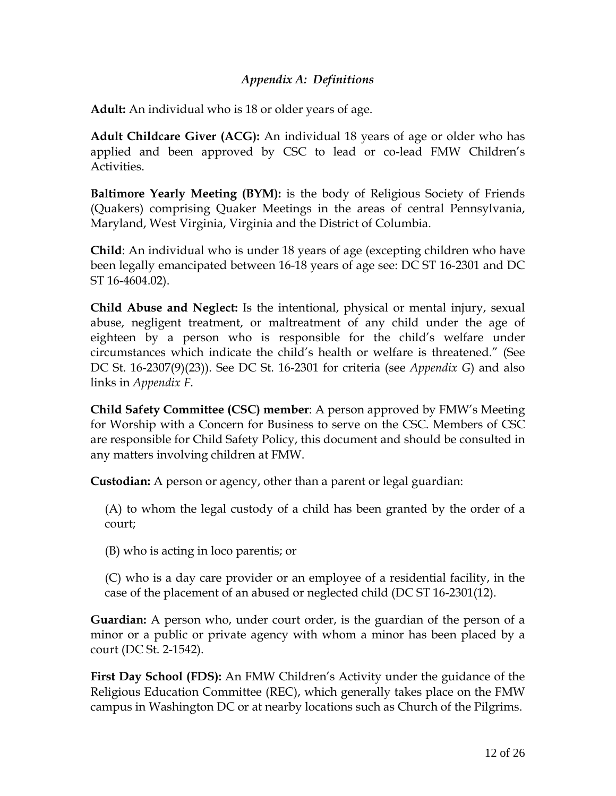#### *Appendix A: Definitions*

**Adult:** An individual who is 18 or older years of age.

**Adult Childcare Giver (ACG):** An individual 18 years of age or older who has applied and been approved by CSC to lead or co-lead FMW Children's Activities.

**Baltimore Yearly Meeting (BYM):** is the body of Religious Society of Friends (Quakers) comprising Quaker Meetings in the areas of central Pennsylvania, Maryland, West Virginia, Virginia and the District of Columbia.

**Child**: An individual who is under 18 years of age (excepting children who have been legally emancipated between 16-18 years of age see: DC ST 16-2301 and DC ST 16-4604.02).

**Child Abuse and Neglect:** Is the intentional, physical or mental injury, sexual abuse, negligent treatment, or maltreatment of any child under the age of eighteen by a person who is responsible for the child's welfare under circumstances which indicate the child's health or welfare is threatened." (See DC St. 16-2307(9)(23)). See DC St. 16-2301 for criteria (see *Appendix G*) and also links in *Appendix F*.

**Child Safety Committee (CSC) member**: A person approved by FMW's Meeting for Worship with a Concern for Business to serve on the CSC. Members of CSC are responsible for Child Safety Policy, this document and should be consulted in any matters involving children at FMW.

**Custodian:** A person or agency, other than a parent or legal guardian:

(A) to whom the legal custody of a child has been granted by the order of a court;

(B) who is acting in loco parentis; or

(C) who is a day care provider or an employee of a residential facility, in the case of the placement of an abused or neglected child (DC ST 16-2301(12).

**Guardian:** A person who, under court order, is the guardian of the person of a minor or a public or private agency with whom a minor has been placed by a court (DC St. 2-1542).

**First Day School (FDS):** An FMW Children's Activity under the guidance of the Religious Education Committee (REC), which generally takes place on the FMW campus in Washington DC or at nearby locations such as Church of the Pilgrims.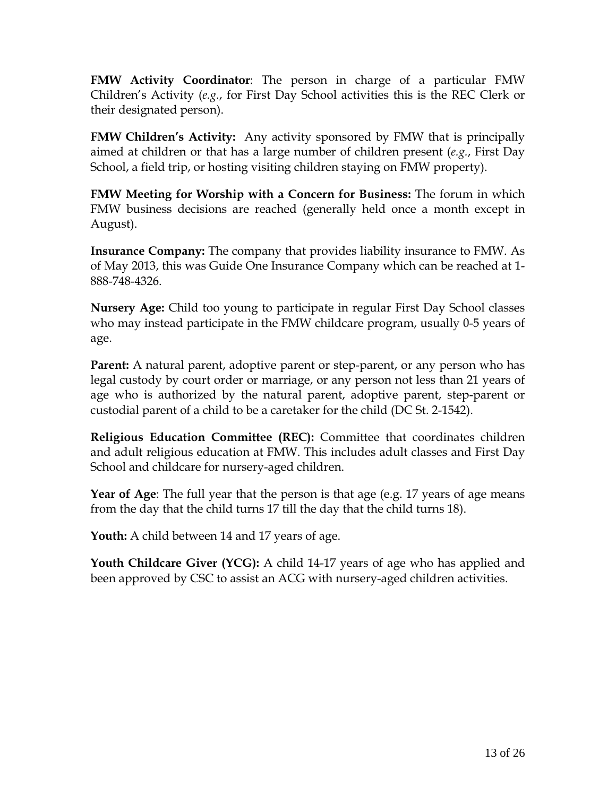**FMW Activity Coordinator**: The person in charge of a particular FMW Children's Activity (*e.g.*, for First Day School activities this is the REC Clerk or their designated person).

**FMW Children's Activity:** Any activity sponsored by FMW that is principally aimed at children or that has a large number of children present (*e.g.*, First Day School, a field trip, or hosting visiting children staying on FMW property).

**FMW Meeting for Worship with a Concern for Business:** The forum in which FMW business decisions are reached (generally held once a month except in August).

**Insurance Company:** The company that provides liability insurance to FMW. As of May 2013, this was Guide One Insurance Company which can be reached at 1- 888-748-4326.

**Nursery Age:** Child too young to participate in regular First Day School classes who may instead participate in the FMW childcare program, usually 0-5 years of age.

**Parent:** A natural parent, adoptive parent or step-parent, or any person who has legal custody by court order or marriage, or any person not less than 21 years of age who is authorized by the natural parent, adoptive parent, step-parent or custodial parent of a child to be a caretaker for the child (DC St. 2-1542).

**Religious Education Committee (REC):** Committee that coordinates children and adult religious education at FMW. This includes adult classes and First Day School and childcare for nursery-aged children.

**Year of Age**: The full year that the person is that age (e.g. 17 years of age means from the day that the child turns 17 till the day that the child turns 18).

**Youth:** A child between 14 and 17 years of age.

**Youth Childcare Giver (YCG):** A child 14-17 years of age who has applied and been approved by CSC to assist an ACG with nursery-aged children activities.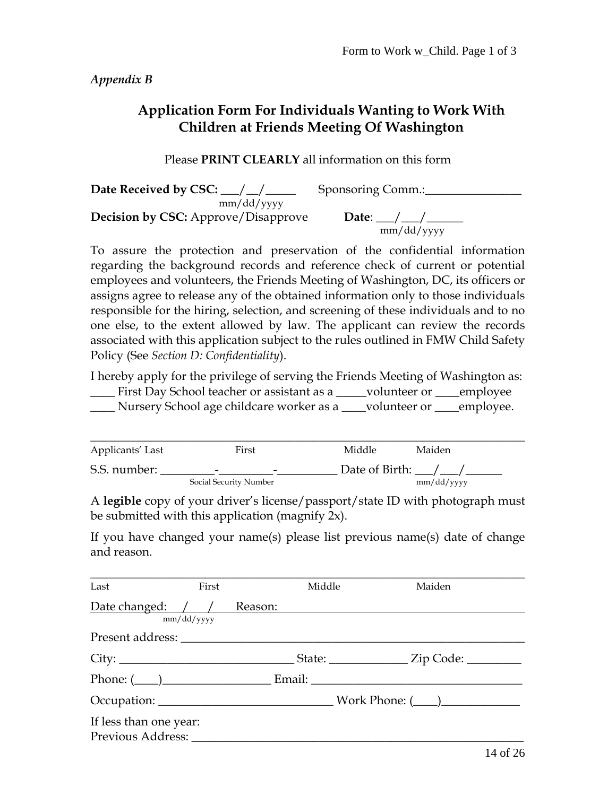*Appendix B* 

# **Application Form For Individuals Wanting to Work With Children at Friends Meeting Of Washington**

#### Please **PRINT CLEARLY** all information on this form

**Date Received by CSC:** \_\_\_/ \_\_/ \_\_\_\_\_\_\_\_ Sponsoring Comm.: \_\_\_\_\_\_\_\_\_\_\_\_\_\_\_\_\_\_\_\_\_\_ mm/dd/yyyy **Decision by CSC:** Approve/Disapprove Date:  $\frac{1}{\text{mm}/\text{dd}/\text{yyy}}$ 

To assure the protection and preservation of the confidential information regarding the background records and reference check of current or potential employees and volunteers, the Friends Meeting of Washington, DC, its officers or assigns agree to release any of the obtained information only to those individuals responsible for the hiring, selection, and screening of these individuals and to no one else, to the extent allowed by law. The applicant can review the records associated with this application subject to the rules outlined in FMW Child Safety Policy (See *Section D: Confidentiality*).

I hereby apply for the privilege of serving the Friends Meeting of Washington as: \_\_\_\_ First Day School teacher or assistant as a \_\_\_\_\_volunteer or \_\_\_\_employee \_\_\_\_ Nursery School age childcare worker as a \_\_\_\_volunteer or \_\_\_\_employee.

| Applicants' Last | First                         | Middle           | Maiden     |
|------------------|-------------------------------|------------------|------------|
| S.S. number:     | $\overline{\phantom{0}}$<br>- | Date of Birth: / |            |
|                  | Social Security Number        |                  | mm/dd/yyyy |

A **legible** copy of your driver's license/passport/state ID with photograph must be submitted with this application (magnify 2x).

If you have changed your name(s) please list previous name(s) date of change and reason.

| Last                                        | First      | Middle | Maiden                                                                                                                                                                                                                                                                                                                                  |
|---------------------------------------------|------------|--------|-----------------------------------------------------------------------------------------------------------------------------------------------------------------------------------------------------------------------------------------------------------------------------------------------------------------------------------------|
| Date changed: / / Reason:                   | mm/dd/yyyy |        |                                                                                                                                                                                                                                                                                                                                         |
|                                             |            |        |                                                                                                                                                                                                                                                                                                                                         |
|                                             |            |        | $_$ State: $_$ $\qquad \qquad$ $\qquad$ $\qquad$ $\qquad$ $\qquad$ $\qquad$ $\qquad$ $\qquad$ $\qquad$ $\qquad$ $\qquad$ $\qquad$ $\qquad$ $\qquad$ $\qquad$ $\qquad$ $\qquad$ $\qquad$ $\qquad$ $\qquad$ $\qquad$ $\qquad$ $\qquad$ $\qquad$ $\qquad$ $\qquad$ $\qquad$ $\qquad$ $\qquad$ $\qquad$ $\qquad$ $\qquad$ $\qquad$ $\qquad$ |
|                                             |            |        |                                                                                                                                                                                                                                                                                                                                         |
|                                             |            |        |                                                                                                                                                                                                                                                                                                                                         |
| If less than one year:<br>Previous Address: |            |        |                                                                                                                                                                                                                                                                                                                                         |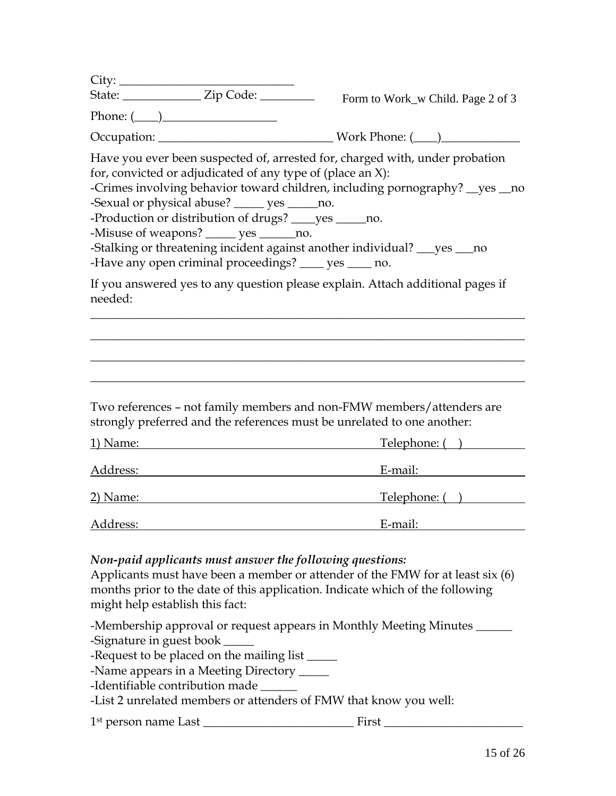| Phone: $(\_\_)$                                                                                                                                                                                                                                                                                                                                                                                                                                                                                                                     |  |  |
|-------------------------------------------------------------------------------------------------------------------------------------------------------------------------------------------------------------------------------------------------------------------------------------------------------------------------------------------------------------------------------------------------------------------------------------------------------------------------------------------------------------------------------------|--|--|
|                                                                                                                                                                                                                                                                                                                                                                                                                                                                                                                                     |  |  |
| Have you ever been suspected of, arrested for, charged with, under probation<br>for, convicted or adjudicated of any type of (place an X):<br>-Crimes involving behavior toward children, including pornography? __ yes __ no<br>-Sexual or physical abuse? _____ yes _____ no.<br>-Production or distribution of drugs? _____ yes ______ no.<br>-Misuse of weapons? _____ yes ______ no.<br>-Stalking or threatening incident against another individual? ___ yes ___ no<br>-Have any open criminal proceedings? ____ yes ____ no. |  |  |
| If you answered yes to any question please explain. Attach additional pages if<br>needed:                                                                                                                                                                                                                                                                                                                                                                                                                                           |  |  |
|                                                                                                                                                                                                                                                                                                                                                                                                                                                                                                                                     |  |  |
| Two references - not family members and non-FMW members/attenders are<br>strongly preferred and the references must be unrelated to one another:                                                                                                                                                                                                                                                                                                                                                                                    |  |  |
| Telephone: ()<br>1) Name:<br><u> 1989 - Johann Barnett, fransk politiker (</u>                                                                                                                                                                                                                                                                                                                                                                                                                                                      |  |  |

| Address: | E-mail:      |
|----------|--------------|
|          |              |
| 2) Name: | Telephone: ( |
|          |              |
| Address: | E-mail:      |

# *Non-paid applicants must answer the following questions:*

Applicants must have been a member or attender of the FMW for at least six (6) months prior to the date of this application. Indicate which of the following might help establish this fact:

-Membership approval or request appears in Monthly Meeting Minutes \_\_\_\_\_\_ -Signature in guest book \_\_\_\_\_\_

-Request to be placed on the mailing list \_\_\_\_\_\_

-Name appears in a Meeting Directory \_\_\_\_\_\_

-Identifiable contribution made \_\_\_\_\_\_

-List 2 unrelated members or attenders of FMW that know you well:

1st person name Last \_\_\_\_\_\_\_\_\_\_\_\_\_\_\_\_\_\_\_\_\_\_\_\_\_ First \_\_\_\_\_\_\_\_\_\_\_\_\_\_\_\_\_\_\_\_\_\_\_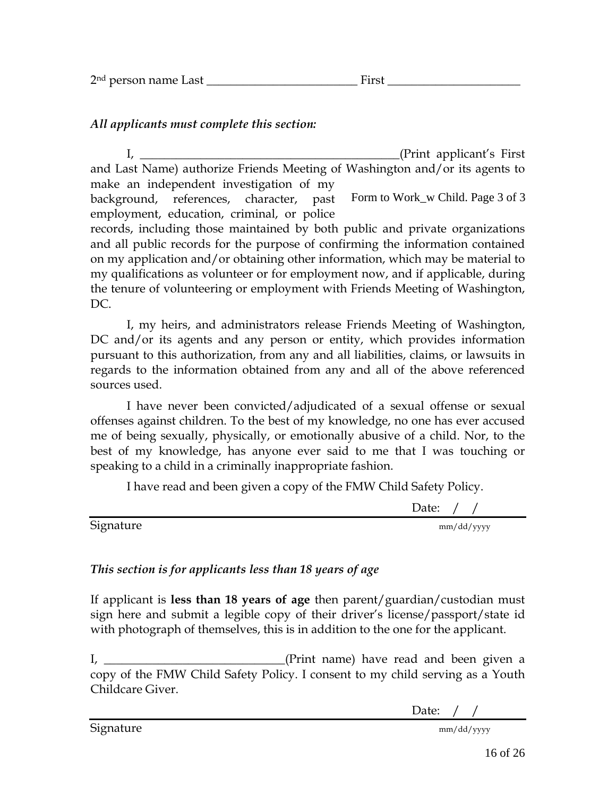| - 1100 | 2 <sup>nd</sup> person name Last |  |
|--------|----------------------------------|--|
|--------|----------------------------------|--|

## *All applicants must complete this section:*

I, \_\_\_\_\_\_\_\_\_\_\_\_\_\_\_\_\_\_\_\_\_\_\_\_\_\_\_\_\_\_\_\_\_\_\_\_\_\_\_\_\_\_\_(Print applicant's First and Last Name) authorize Friends Meeting of Washington and/or its agents to make an independent investigation of my

background, references, character, past employment, education, criminal, or police Form to Work\_w Child. Page 3 of 3

records, including those maintained by both public and private organizations and all public records for the purpose of confirming the information contained on my application and/or obtaining other information, which may be material to my qualifications as volunteer or for employment now, and if applicable, during the tenure of volunteering or employment with Friends Meeting of Washington, DC.

I, my heirs, and administrators release Friends Meeting of Washington, DC and/or its agents and any person or entity, which provides information pursuant to this authorization, from any and all liabilities, claims, or lawsuits in regards to the information obtained from any and all of the above referenced sources used.

I have never been convicted/adjudicated of a sexual offense or sexual offenses against children. To the best of my knowledge, no one has ever accused me of being sexually, physically, or emotionally abusive of a child. Nor, to the best of my knowledge, has anyone ever said to me that I was touching or speaking to a child in a criminally inappropriate fashion.

I have read and been given a copy of the FMW Child Safety Policy.

Date: / /

Signature mm/dd/yyyy

# *This section is for applicants less than 18 years of age*

If applicant is **less than 18 years of age** then parent/guardian/custodian must sign here and submit a legible copy of their driver's license/passport/state id with photograph of themselves, this is in addition to the one for the applicant.

I, \_\_\_\_\_\_\_\_\_\_\_\_\_\_\_\_\_\_\_\_\_\_\_\_\_\_\_(Print name) have read and been given a copy of the FMW Child Safety Policy. I consent to my child serving as a Youth Childcare Giver.

Date: / /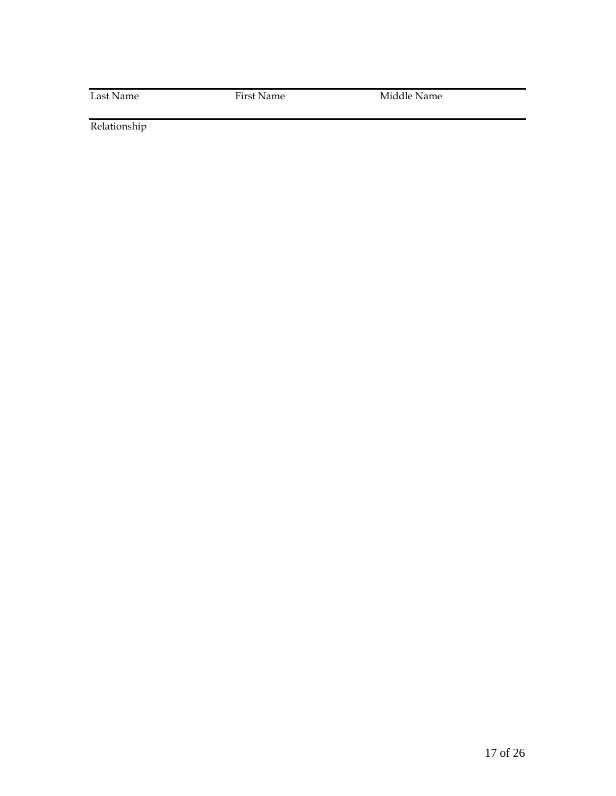Last Name First Name Middle Name

Relationship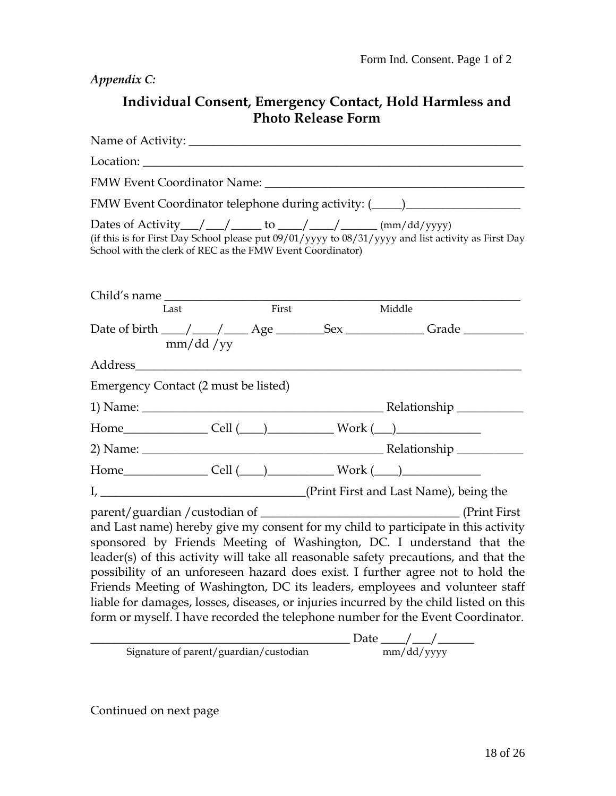*Appendix C:* 

# **Individual Consent, Emergency Contact, Hold Harmless and Photo Release Form**

| Location: the contract of the contract of the contract of the contract of the contract of the contract of the contract of the contract of the contract of the contract of the contract of the contract of the contract of the                                                                                                                                                                                                                                                                                                                                                                                                                                                                                                                             |          |       |  |                                                                                  |  |
|-----------------------------------------------------------------------------------------------------------------------------------------------------------------------------------------------------------------------------------------------------------------------------------------------------------------------------------------------------------------------------------------------------------------------------------------------------------------------------------------------------------------------------------------------------------------------------------------------------------------------------------------------------------------------------------------------------------------------------------------------------------|----------|-------|--|----------------------------------------------------------------------------------|--|
|                                                                                                                                                                                                                                                                                                                                                                                                                                                                                                                                                                                                                                                                                                                                                           |          |       |  |                                                                                  |  |
|                                                                                                                                                                                                                                                                                                                                                                                                                                                                                                                                                                                                                                                                                                                                                           |          |       |  | FMW Event Coordinator telephone during activity: (_____)________________________ |  |
| Dates of Activity $\_\_\_\_\_\_\_\_\_\$ to $\_\_\_\_\_\_\_\_\_\_\_\_\$ (mm/dd/yyyy)<br>(if this is for First Day School please put 09/01/yyyy to 08/31/yyyy and list activity as First Day<br>School with the clerk of REC as the FMW Event Coordinator)                                                                                                                                                                                                                                                                                                                                                                                                                                                                                                  |          |       |  |                                                                                  |  |
| Child's name<br>Last                                                                                                                                                                                                                                                                                                                                                                                                                                                                                                                                                                                                                                                                                                                                      |          | First |  | Middle                                                                           |  |
|                                                                                                                                                                                                                                                                                                                                                                                                                                                                                                                                                                                                                                                                                                                                                           | mm/dd/yy |       |  | Date of birth ___/ ___/ ___ Age ________Sex _________________Grade _____________ |  |
|                                                                                                                                                                                                                                                                                                                                                                                                                                                                                                                                                                                                                                                                                                                                                           |          |       |  |                                                                                  |  |
| Emergency Contact (2 must be listed)                                                                                                                                                                                                                                                                                                                                                                                                                                                                                                                                                                                                                                                                                                                      |          |       |  |                                                                                  |  |
|                                                                                                                                                                                                                                                                                                                                                                                                                                                                                                                                                                                                                                                                                                                                                           |          |       |  |                                                                                  |  |
|                                                                                                                                                                                                                                                                                                                                                                                                                                                                                                                                                                                                                                                                                                                                                           |          |       |  | $Home$ $Cell$ $(\_\_\_\_\_\_$ Work $(\_\_\_\_\_\_$                               |  |
|                                                                                                                                                                                                                                                                                                                                                                                                                                                                                                                                                                                                                                                                                                                                                           |          |       |  |                                                                                  |  |
|                                                                                                                                                                                                                                                                                                                                                                                                                                                                                                                                                                                                                                                                                                                                                           |          |       |  | $Home$ $Cell$ $(\underline{\hspace{1cm}})$ $Work$ $(\underline{\hspace{1cm}})$   |  |
|                                                                                                                                                                                                                                                                                                                                                                                                                                                                                                                                                                                                                                                                                                                                                           |          |       |  |                                                                                  |  |
| I, _________________________________(Print First and Last Name), being the<br>(Print First)<br>and Last name) hereby give my consent for my child to participate in this activity<br>sponsored by Friends Meeting of Washington, DC. I understand that the<br>leader(s) of this activity will take all reasonable safety precautions, and that the<br>possibility of an unforeseen hazard does exist. I further agree not to hold the<br>Friends Meeting of Washington, DC its leaders, employees and volunteer staff<br>liable for damages, losses, diseases, or injuries incurred by the child listed on this<br>form or myself. I have recorded the telephone number for the Event Coordinator.<br>$\frac{1}{2}$ Date $\frac{1}{2}$ Date $\frac{1}{2}$ |          |       |  |                                                                                  |  |

Signature of parent/guardian/custodian mm/dd/yyyy

Continued on next page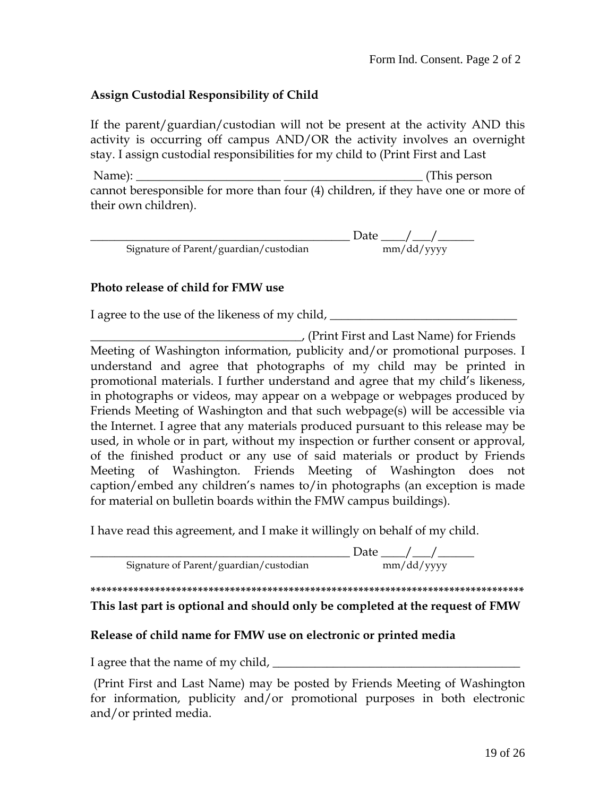#### **Assign Custodial Responsibility of Child**

If the parent/guardian/custodian will not be present at the activity AND this activity is occurring off campus AND/OR the activity involves an overnight stay. I assign custodial responsibilities for my child to (Print First and Last

 Name): \_\_\_\_\_\_\_\_\_\_\_\_\_\_\_\_\_\_\_\_\_\_\_\_ \_\_\_\_\_\_\_\_\_\_\_\_\_\_\_\_\_\_\_\_\_\_\_ (This person cannot beresponsible for more than four (4) children, if they have one or more of their own children).

|                                        | Date       |
|----------------------------------------|------------|
| Signature of Parent/guardian/custodian | mm/dd/yyyy |

#### **Photo release of child for FMW use**

I agree to the use of the likeness of my child, \_\_\_\_\_\_\_\_\_\_\_\_\_\_\_\_\_\_\_\_\_\_\_\_\_\_\_\_\_\_\_\_\_

\_\_\_\_\_\_\_\_\_\_\_\_\_\_\_\_\_\_\_\_\_\_\_\_\_\_\_\_\_\_\_\_\_\_\_, (Print First and Last Name) for Friends Meeting of Washington information, publicity and/or promotional purposes. I understand and agree that photographs of my child may be printed in promotional materials. I further understand and agree that my child's likeness, in photographs or videos, may appear on a webpage or webpages produced by Friends Meeting of Washington and that such webpage(s) will be accessible via the Internet. I agree that any materials produced pursuant to this release may be used, in whole or in part, without my inspection or further consent or approval, of the finished product or any use of said materials or product by Friends Meeting of Washington. Friends Meeting of Washington does not caption/embed any children's names to/in photographs (an exception is made for material on bulletin boards within the FMW campus buildings).

I have read this agreement, and I make it willingly on behalf of my child.

 $\frac{1}{\text{tan}}$  Date  $\frac{1}{\text{mm}/\text{dd}/\text{vv} \text{vv}}$ Signature of Parent/guardian/custodian

**\*\*\*\*\*\*\*\*\*\*\*\*\*\*\*\*\*\*\*\*\*\*\*\*\*\*\*\*\*\*\*\*\*\*\*\*\*\*\*\*\*\*\*\*\*\*\*\*\*\*\*\*\*\*\*\*\*\*\*\*\*\*\*\*\*\*\*\*\*\*\*\*\*\*\*\*\*\*\*\*\*** 

**This last part is optional and should only be completed at the request of FMW** 

#### **Release of child name for FMW use on electronic or printed media**

I agree that the name of my child, \_\_\_\_\_\_\_\_\_\_\_\_\_\_\_\_\_\_\_\_\_\_\_\_\_\_\_\_\_\_\_\_\_\_\_\_\_\_\_\_\_

 (Print First and Last Name) may be posted by Friends Meeting of Washington for information, publicity and/or promotional purposes in both electronic and/or printed media.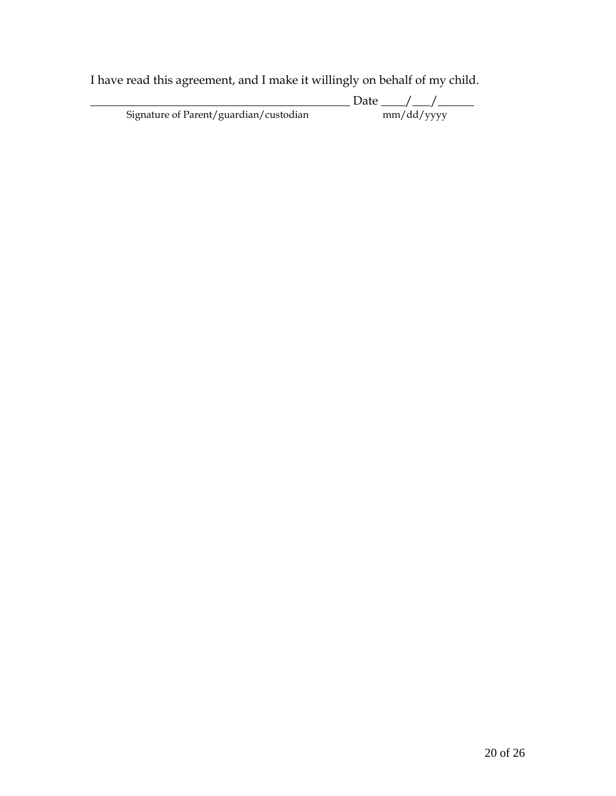I have read this agreement, and I make it willingly on behalf of my child.

|                                        | Date       |
|----------------------------------------|------------|
| Signature of Parent/guardian/custodian | mm/dd/yyyy |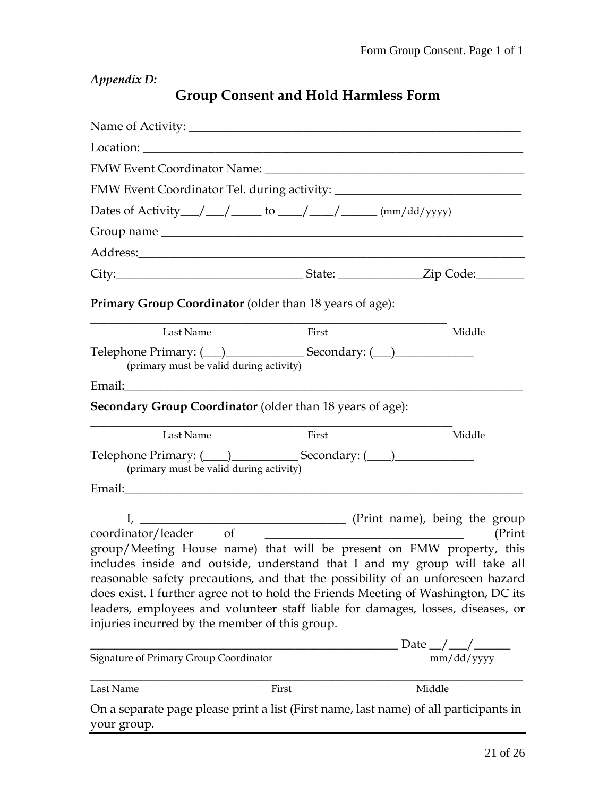*Appendix D:* 

|  | <b>Group Consent and Hold Harmless Form</b> |
|--|---------------------------------------------|
|--|---------------------------------------------|

| Location: Location:                                                                                  |                                                                 |                                                                                                                                                                                                                                                                                                                                                                                                                                                                                                                                                                                  |
|------------------------------------------------------------------------------------------------------|-----------------------------------------------------------------|----------------------------------------------------------------------------------------------------------------------------------------------------------------------------------------------------------------------------------------------------------------------------------------------------------------------------------------------------------------------------------------------------------------------------------------------------------------------------------------------------------------------------------------------------------------------------------|
|                                                                                                      |                                                                 | FMW Event Coordinator Name: University of the Coordinator Name:                                                                                                                                                                                                                                                                                                                                                                                                                                                                                                                  |
|                                                                                                      |                                                                 |                                                                                                                                                                                                                                                                                                                                                                                                                                                                                                                                                                                  |
| Dates of Activity $\_\_\_\_\_\_\_\_\_\$ to $\_\_\_\_\_\_\_\_\_\_\_\_\_\$ (mm/dd/yyyy)                |                                                                 |                                                                                                                                                                                                                                                                                                                                                                                                                                                                                                                                                                                  |
|                                                                                                      |                                                                 |                                                                                                                                                                                                                                                                                                                                                                                                                                                                                                                                                                                  |
|                                                                                                      |                                                                 |                                                                                                                                                                                                                                                                                                                                                                                                                                                                                                                                                                                  |
|                                                                                                      |                                                                 |                                                                                                                                                                                                                                                                                                                                                                                                                                                                                                                                                                                  |
| <b>Primary Group Coordinator</b> (older than 18 years of age):                                       |                                                                 |                                                                                                                                                                                                                                                                                                                                                                                                                                                                                                                                                                                  |
| Last Name                                                                                            | First                                                           | Middle                                                                                                                                                                                                                                                                                                                                                                                                                                                                                                                                                                           |
| (primary must be valid during activity)                                                              |                                                                 |                                                                                                                                                                                                                                                                                                                                                                                                                                                                                                                                                                                  |
| Email:                                                                                               | the contract of the contract of the contract of the contract of |                                                                                                                                                                                                                                                                                                                                                                                                                                                                                                                                                                                  |
| <b>Secondary Group Coordinator</b> (older than 18 years of age):                                     |                                                                 |                                                                                                                                                                                                                                                                                                                                                                                                                                                                                                                                                                                  |
| Last Name                                                                                            | First                                                           | Middle                                                                                                                                                                                                                                                                                                                                                                                                                                                                                                                                                                           |
| Telephone Primary: (120) Secondary: (220)<br>(primary must be valid during activity)                 |                                                                 |                                                                                                                                                                                                                                                                                                                                                                                                                                                                                                                                                                                  |
|                                                                                                      |                                                                 |                                                                                                                                                                                                                                                                                                                                                                                                                                                                                                                                                                                  |
| $\mathbf{I}_{\mathbf{r}}$<br>coordinator/leader of<br>injuries incurred by the member of this group. |                                                                 | (Print name), being the group<br>(Print<br><u> 1989 - Johann Barn, mars ann an t-Amhain Aonaich an t-Aonaich an t-Aonaich an t-Aonaich an t-Aonaich an t-Aon</u><br>group/Meeting House name) that will be present on FMW property, this<br>includes inside and outside, understand that I and my group will take all<br>reasonable safety precautions, and that the possibility of an unforeseen hazard<br>does exist. I further agree not to hold the Friends Meeting of Washington, DC its<br>leaders, employees and volunteer staff liable for damages, losses, diseases, or |
| Signature of Primary Group Coordinator                                                               |                                                                 | Date $\frac{1}{\text{mm}/\text{dd}/\text{yyy}}$                                                                                                                                                                                                                                                                                                                                                                                                                                                                                                                                  |
| Last Name                                                                                            | First                                                           | Middle                                                                                                                                                                                                                                                                                                                                                                                                                                                                                                                                                                           |
| your group.                                                                                          |                                                                 | On a separate page please print a list (First name, last name) of all participants in                                                                                                                                                                                                                                                                                                                                                                                                                                                                                            |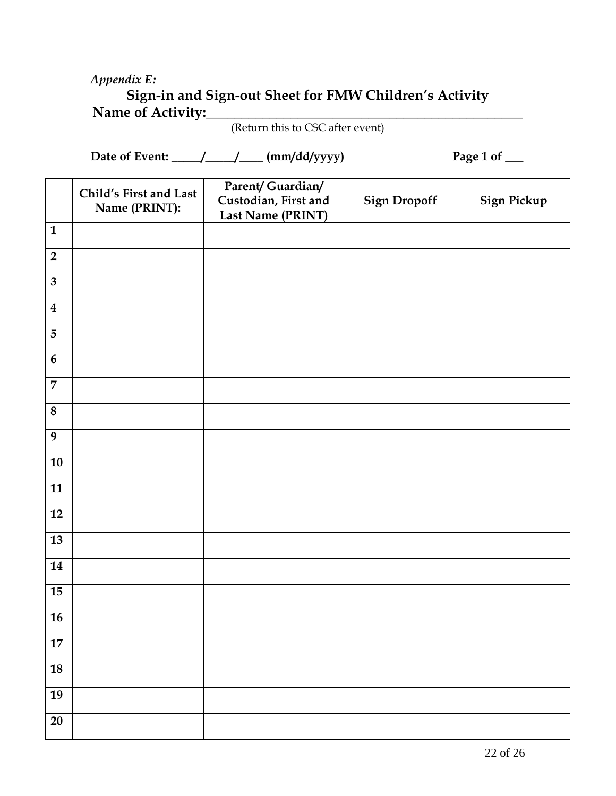# *Appendix E:*

# **Sign-in and Sign-out Sheet for FMW Children's Activity**  Name of Activity:

(Return this to CSC after event)

Date of Event: \_\_\_\_\_\_/\_\_\_\_\_ (mm/dd/yyyy) Page 1 of \_\_\_

|                         | Child's First and Last | Parent/ Guardian/<br>Custodian, First and | <b>Sign Dropoff</b> | Sign Pickup |
|-------------------------|------------------------|-------------------------------------------|---------------------|-------------|
|                         | Name (PRINT):          | Last Name (PRINT)                         |                     |             |
| $\mathbf{1}$            |                        |                                           |                     |             |
| $\overline{2}$          |                        |                                           |                     |             |
| $\overline{\mathbf{3}}$ |                        |                                           |                     |             |
| $\boldsymbol{4}$        |                        |                                           |                     |             |
| $\overline{5}$          |                        |                                           |                     |             |
| $\boldsymbol{6}$        |                        |                                           |                     |             |
| $\overline{7}$          |                        |                                           |                     |             |
| $\bf 8$                 |                        |                                           |                     |             |
| 9                       |                        |                                           |                     |             |
| ${\bf 10}$              |                        |                                           |                     |             |
| 11                      |                        |                                           |                     |             |
| $12\,$                  |                        |                                           |                     |             |
| 13                      |                        |                                           |                     |             |
| 14                      |                        |                                           |                     |             |
| 15                      |                        |                                           |                     |             |
| 16                      |                        |                                           |                     |             |
| $\bf 17$                |                        |                                           |                     |             |
| 18                      |                        |                                           |                     |             |
| 19                      |                        |                                           |                     |             |
| $\overline{20}$         |                        |                                           |                     |             |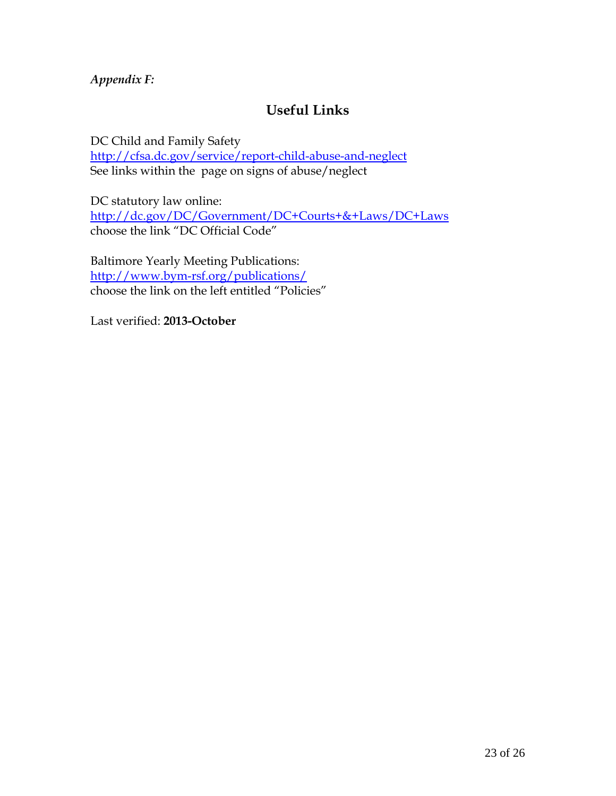*Appendix F:* 

# **Useful Links**

DC Child and Family Safety <http://cfsa.dc.gov/service/report-child-abuse-and-neglect> See links within the page on signs of abuse/neglect

DC statutory law online: <http://dc.gov/DC/Government/DC+Courts+&+Laws/DC+Laws> choose the link "DC Official Code"

Baltimore Yearly Meeting Publications: <http://www.bym-rsf.org/publications/> choose the link on the left entitled "Policies"

Last verified: **2013-October**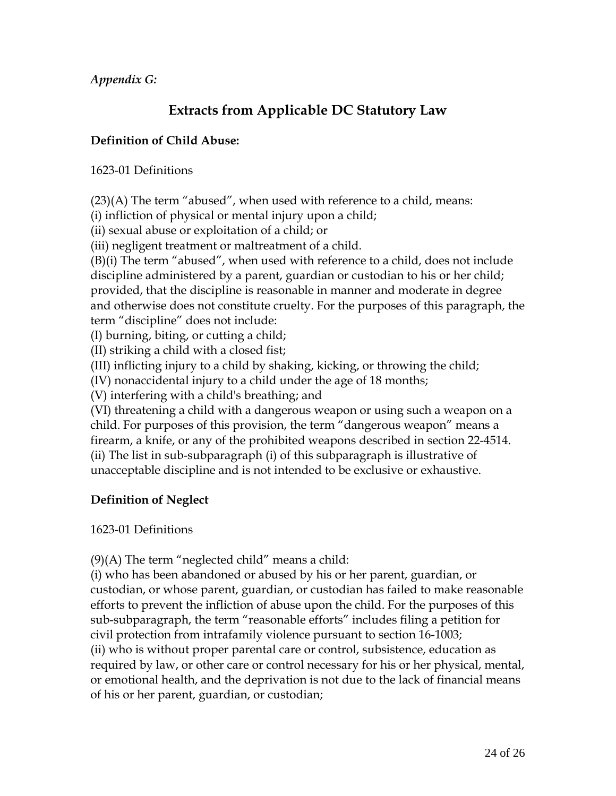*Appendix G:* 

# **Extracts from Applicable DC Statutory Law**

## **Definition of Child Abuse:**

1623-01 Definitions

 $(23)(A)$  The term "abused", when used with reference to a child, means:

(i) infliction of physical or mental injury upon a child;

(ii) sexual abuse or exploitation of a child; or

(iii) negligent treatment or maltreatment of a child.

(B)(i) The term "abused", when used with reference to a child, does not include discipline administered by a parent, guardian or custodian to his or her child; provided, that the discipline is reasonable in manner and moderate in degree and otherwise does not constitute cruelty. For the purposes of this paragraph, the term "discipline" does not include:

(I) burning, biting, or cutting a child;

(II) striking a child with a closed fist;

(III) inflicting injury to a child by shaking, kicking, or throwing the child;

(IV) nonaccidental injury to a child under the age of 18 months;

(V) interfering with a child's breathing; and

(VI) threatening a child with a dangerous weapon or using such a weapon on a child. For purposes of this provision, the term "dangerous weapon" means a firearm, a knife, or any of the prohibited weapons described in section 22-4514. (ii) The list in sub-subparagraph (i) of this subparagraph is illustrative of unacceptable discipline and is not intended to be exclusive or exhaustive.

## **Definition of Neglect**

#### 1623-01 Definitions

 $(9)$ (A) The term "neglected child" means a child:

(i) who has been abandoned or abused by his or her parent, guardian, or custodian, or whose parent, guardian, or custodian has failed to make reasonable efforts to prevent the infliction of abuse upon the child. For the purposes of this sub-subparagraph, the term "reasonable efforts" includes filing a petition for civil protection from intrafamily violence pursuant to section 16-1003; (ii) who is without proper parental care or control, subsistence, education as required by law, or other care or control necessary for his or her physical, mental, or emotional health, and the deprivation is not due to the lack of financial means of his or her parent, guardian, or custodian;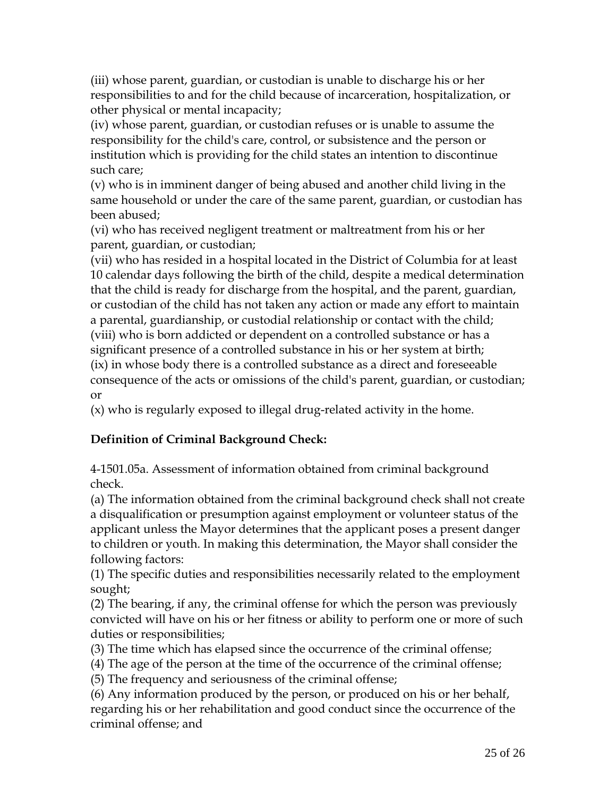(iii) whose parent, guardian, or custodian is unable to discharge his or her responsibilities to and for the child because of incarceration, hospitalization, or other physical or mental incapacity;

(iv) whose parent, guardian, or custodian refuses or is unable to assume the responsibility for the child's care, control, or subsistence and the person or institution which is providing for the child states an intention to discontinue such care;

(v) who is in imminent danger of being abused and another child living in the same household or under the care of the same parent, guardian, or custodian has been abused;

(vi) who has received negligent treatment or maltreatment from his or her parent, guardian, or custodian;

(vii) who has resided in a hospital located in the District of Columbia for at least 10 calendar days following the birth of the child, despite a medical determination that the child is ready for discharge from the hospital, and the parent, guardian, or custodian of the child has not taken any action or made any effort to maintain a parental, guardianship, or custodial relationship or contact with the child; (viii) who is born addicted or dependent on a controlled substance or has a significant presence of a controlled substance in his or her system at birth; (ix) in whose body there is a controlled substance as a direct and foreseeable consequence of the acts or omissions of the child's parent, guardian, or custodian; or

(x) who is regularly exposed to illegal drug-related activity in the home.

# **Definition of Criminal Background Check:**

4-1501.05a. Assessment of information obtained from criminal background check.

(a) The information obtained from the criminal background check shall not create a disqualification or presumption against employment or volunteer status of the applicant unless the Mayor determines that the applicant poses a present danger to children or youth. In making this determination, the Mayor shall consider the following factors:

(1) The specific duties and responsibilities necessarily related to the employment sought;

(2) The bearing, if any, the criminal offense for which the person was previously convicted will have on his or her fitness or ability to perform one or more of such duties or responsibilities;

(3) The time which has elapsed since the occurrence of the criminal offense;

(4) The age of the person at the time of the occurrence of the criminal offense;

(5) The frequency and seriousness of the criminal offense;

(6) Any information produced by the person, or produced on his or her behalf, regarding his or her rehabilitation and good conduct since the occurrence of the criminal offense; and